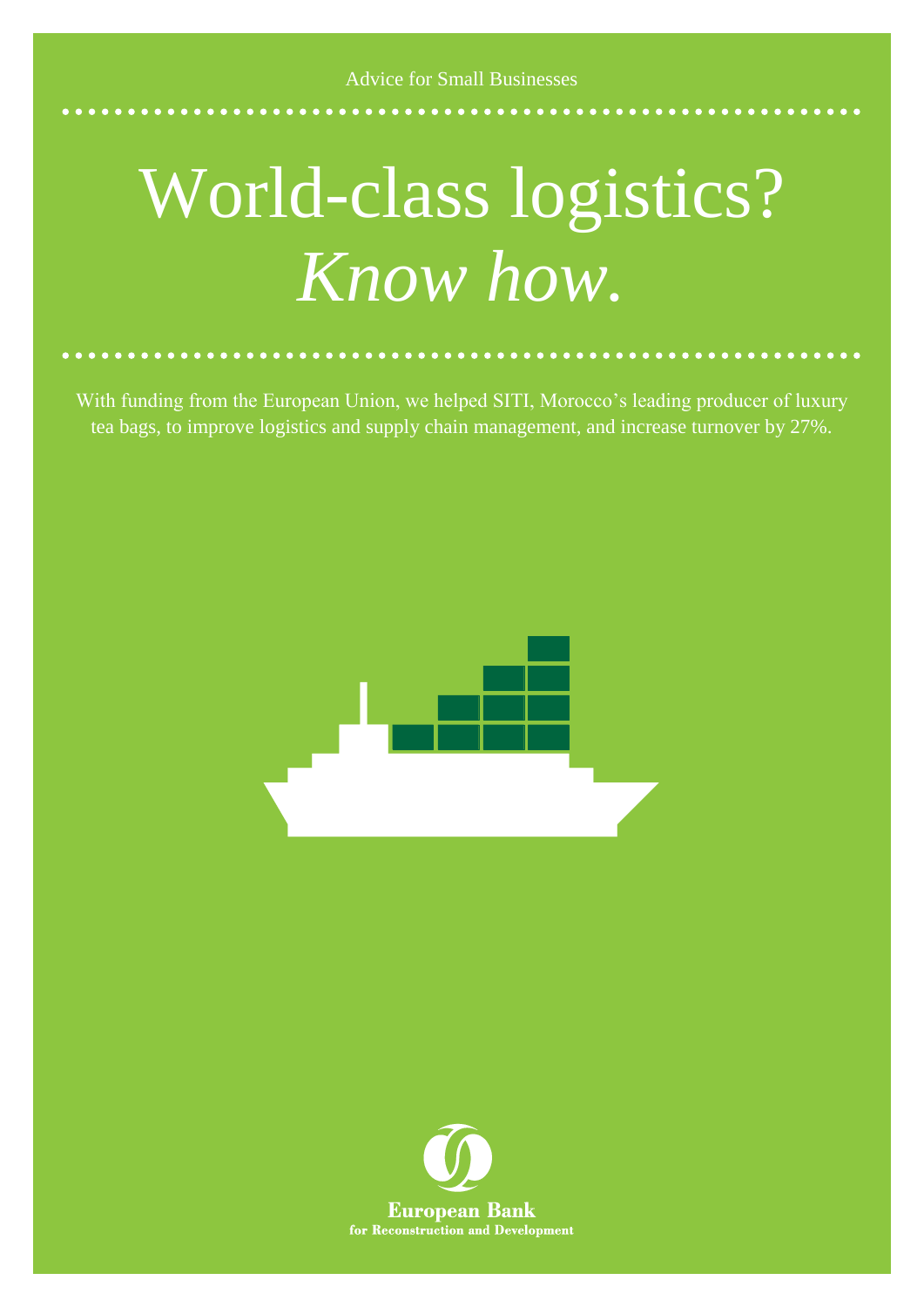## World-class logistics? *Know how.*

With funding from the European Union, we helped SITI, Morocco's leading producer of luxury tea bags, to improve logistics and supply chain management, and increase turnover by 27%.